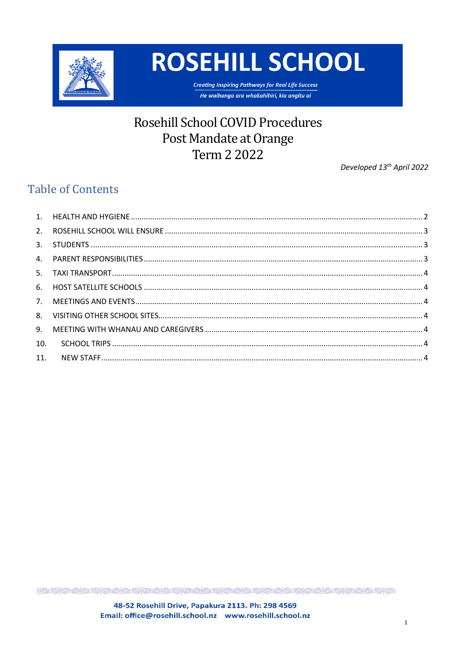

**ROSEHILL SCHOOL** 

**Creating Inspiring Pathways for Real Life Success** He waihanga ara whakahihiri, kia angitu ai

# **Rosehill School COVID Procedures** Post Mandate at Orange Term 2 2022

Developed 13<sup>th</sup> April 2022

# **Table of Contents**

| 10. |  |
|-----|--|
|     |  |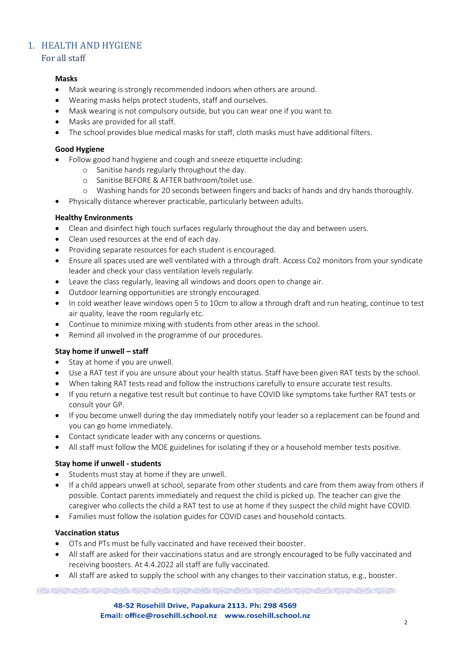# <span id="page-1-0"></span>1. HEALTH AND HYGIENE

### For all staff

### **Masks**

- Mask wearing is strongly recommended indoors when others are around.
- Wearing masks helps protect students, staff and ourselves.
- Mask wearing is not compulsory outside, but you can wear one if you want to.
- Masks are provided for all staff.
- The school provides blue medical masks for staff, cloth masks must have additional filters.

### **Good Hygiene**

- Follow good hand hygiene and cough and sneeze etiquette including:
	- o Sanitise hands regularly throughout the day.
	- o Sanitise BEFORE & AFTER bathroom/toilet use.
	- o Washing hands for 20 seconds between fingers and backs of hands and dry hands thoroughly.
- Physically distance wherever practicable, particularly between adults.

### **Healthy Environments**

- Clean and disinfect high touch surfaces regularly throughout the day and between users.
- Clean used resources at the end of each day.
- Providing separate resources for each student is encouraged.
- Ensure all spaces used are well ventilated with a through draft. Access Co2 monitors from your syndicate leader and check your class ventilation levels regularly.
- Leave the class regularly, leaving all windows and doors open to change air.
- Outdoor learning opportunities are strongly encouraged.
- In cold weather leave windows open 5 to 10cm to allow a through draft and run heating, continue to test air quality, leave the room regularly etc.
- Continue to minimize mixing with students from other areas in the school.
- Remind all involved in the programme of our procedures.

### **Stay home if unwell – staff**

- Stay at home if you are unwell.
- Use a RAT test if you are unsure about your health status. Staff have been given RAT tests by the school.
- When taking RAT tests read and follow the instructions carefully to ensure accurate test results.
- If you return a negative test result but continue to have COVID like symptoms take further RAT tests or consult your GP.
- If you become unwell during the day immediately notify your leader so a replacement can be found and you can go home immediately.
- Contact syndicate leader with any concerns or questions.
- All staff must follow the MOE guidelines for isolating if they or a household member tests positive.

### **Stay home if unwell - students**

- Students must stay at home if they are unwell.
- If a child appears unwell at school, separate from other students and care from them away from others if possible. Contact parents immediately and request the child is picked up. The teacher can give the caregiver who collects the child a RAT test to use at home if they suspect the child might have COVID.
- Families must follow the isolation guides for COVID cases and household contacts.

#### **Vaccination status**

- OTs and PTs must be fully vaccinated and have received their booster.
- All staff are asked for their vaccinations status and are strongly encouraged to be fully vaccinated and receiving boosters. At 4.4.2022 all staff are fully vaccinated.
- All staff are asked to supply the school with any changes to their vaccination status, e.g., booster.

<u>)& ମ୍ମାଡ଼ି ଧାନ୍ଦ୍ରମାଡ଼ି ଧାନ୍ଦ୍ରକଥାନ୍ତ୍ରମାଡ଼ି ଧାନ୍ଦ୍ରମାଡ଼ି ଧାନ୍ତ୍ରମାଡ଼ି ଏକ ସ୍ଥାପିତ୍ରମାଡ଼ି ।</u>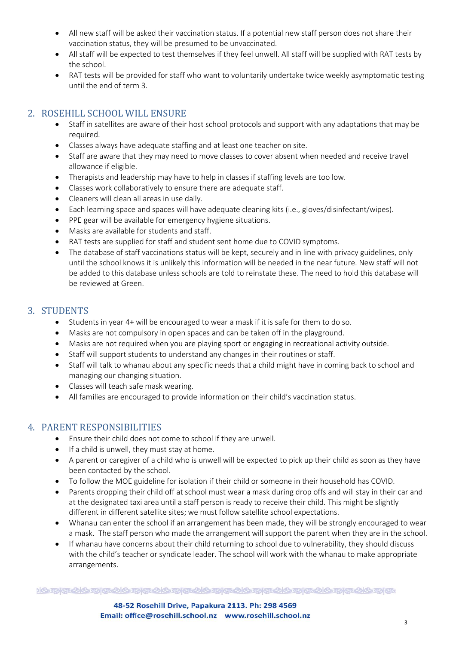- All new staff will be asked their vaccination status. If a potential new staff person does not share their vaccination status, they will be presumed to be unvaccinated.
- All staff will be expected to test themselves if they feel unwell. All staff will be supplied with RAT tests by the school.
- RAT tests will be provided for staff who want to voluntarily undertake twice weekly asymptomatic testing until the end of term 3.

# <span id="page-2-0"></span>2. ROSEHILL SCHOOL WILL ENSURE

- Staff in satellites are aware of their host school protocols and support with any adaptations that may be required.
- Classes always have adequate staffing and at least one teacher on site.
- Staff are aware that they may need to move classes to cover absent when needed and receive travel allowance if eligible.
- Therapists and leadership may have to help in classes if staffing levels are too low.
- Classes work collaboratively to ensure there are adequate staff.
- Cleaners will clean all areas in use daily.
- Each learning space and spaces will have adequate cleaning kits (i.e., gloves/disinfectant/wipes).
- PPE gear will be available for emergency hygiene situations.
- Masks are available for students and staff.
- RAT tests are supplied for staff and student sent home due to COVID symptoms.
- The database of staff vaccinations status will be kept, securely and in line with privacy guidelines, only until the school knows it is unlikely this information will be needed in the near future. New staff will not be added to this database unless schools are told to reinstate these. The need to hold this database will be reviewed at Green.

# <span id="page-2-1"></span>3. STUDENTS

- Students in year 4+ will be encouraged to wear a mask if it is safe for them to do so.
- Masks are not compulsory in open spaces and can be taken off in the playground.
- Masks are not required when you are playing sport or engaging in recreational activity outside.
- Staff will support students to understand any changes in their routines or staff.
- Staff will talk to whanau about any specific needs that a child might have in coming back to school and managing our changing situation.
- Classes will teach safe mask wearing.
- All families are encouraged to provide information on their child's vaccination status.

# <span id="page-2-2"></span>4. PARENT RESPONSIBILITIES

- Ensure their child does not come to school if they are unwell.
- If a child is unwell, they must stay at home.
- A parent or caregiver of a child who is unwell will be expected to pick up their child as soon as they have been contacted by the school.
- To follow the MOE guideline for isolation if their child or someone in their household has COVID.
- Parents dropping their child off at school must wear a mask during drop offs and will stay in their car and at the designated taxi area until a staff person is ready to receive their child. This might be slightly different in different satellite sites; we must follow satellite school expectations.
- Whanau can enter the school if an arrangement has been made, they will be strongly encouraged to wear a mask. The staff person who made the arrangement will support the parent when they are in the school.
- If whanau have concerns about their child returning to school due to vulnerability, they should discuss with the child's teacher or syndicate leader. The school will work with the whanau to make appropriate arrangements.

<u>)& ମ୍ମାଡ଼ି ଧାନ୍ଦ୍ରମାଡ଼ି ଧାନ୍ଦ୍ରକଥାନ୍ତ୍ରମାଡ଼ି ଧାନ୍ଦ୍ରମାଡ଼ି ଧାନ୍ତ୍ରମାଡ଼ି ଏକ ସ୍ଥାପିତ୍ରମାଡ଼ି ।</u>